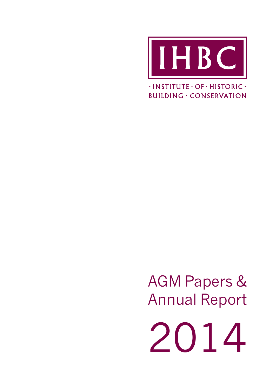

 $\cdot$ INSTITUTE  $\cdot$  OF  $\cdot$  HISTORIC  $\cdot$ **BUILDING · CONSERVATION** 

AGM Papers & Annual Report

2014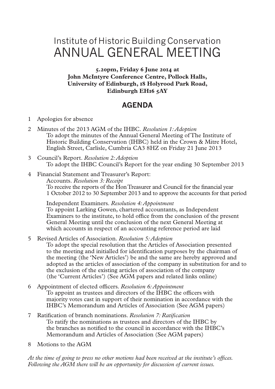# Institute of Historic Building Conservation ANNUAL GENERAL MEETING

**5.20pm, Friday 6 June 2014 at John McIntyre Conference Centre, Pollock Halls, University of Edinburgh, 18 Holyrood Park Road, Edinburgh EH16 5AY**

## **AGENDA**

- 1 Apologies for absence
- 2 Minutes of the 2013 AGM of the IHBC. *Resolution 1: Adoption* To adopt the minutes of the Annual General Meeting of The Institute of Historic Building Conservation (IHBC) held in the Crown & Mitre Hotel, English Street, Carlisle, Cumbria CA3 8HZ on Friday 21 June 2013
- 3 Council's Report. *Resolution 2: Adoption* To adopt the IHBC Council's Report for the year ending 30 September 2013

#### 4 Financial Statement and Treasurer's Report:

Accounts. *Resolution 3: Receipt* To receive the reports of the Hon Treasurer and Council for the financial year 1 October 2012 to 30 September 2013 and to approve the accounts for that period

Independent Examiners. *Resolution 4: Appointment* To appoint Larking Gowen, chartered accountants, as Independent Examiners to the institute, to hold office from the conclusion of the present General Meeting until the conclusion of the next General Meeting at which accounts in respect of an accounting reference period are laid

5 Revised Articles of Association. *Resolution 5: Adoption*

To adopt the special resolution that the Articles of Association presented to the meeting and initialled for identification purposes by the chairman of the meeting (the 'New Articles') be and the same are hereby approved and adopted as the articles of association of the company in substitution for and to the exclusion of the existing articles of association of the company (the 'Current Articles') (See AGM papers and related links online)

- 6 Appointment of elected officers. *Resolution 6: Appointment* To appoint as trustees and directors of the IHBC the officers with majority votes cast in support of their nomination in accordance with the IHBC's Memorandum and Articles of Association (See AGM papers)
- 7 Ratification of branch nominations. *Resolution 7: Ratification* To ratify the nominations as trustees and directors of the IHBC by the branches as notified to the council in accordance with the IHBC's Memorandum and Articles of Association (See AGM papers)
- 8 Motions to the AGM

*At the time of going to press no other motions had been received at the institute's offices. Following the AGM there will be an opportunity for discussion of current issues.*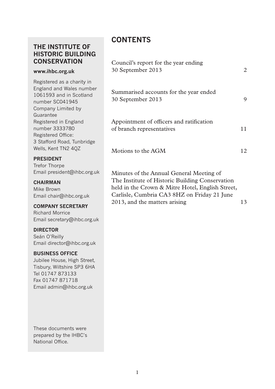## **THE INSTITUTE OF HISTORIC BUILDING CONSERVATION**

#### **www.ihbc.org.uk**

Registered as a charity in England and Wales number 1061593 and in Scotland number SC041945 Company Limited by Guarantee Registered in England number 3333780 Registered Office: 3 Stafford Road, Tunbridge Wells, Kent TN2 4QZ

#### **PRESIDENT**

Trefor Thorpe Email president@ihbc.org.uk

#### **CHAIRMAN**

Mike Brown Email chair@ihbc.org.uk

#### **COMPANY SECRETARY**

Richard Morrice Email secretary@ihbc.org.uk

#### **DIRECTOR**

Seán O'Reilly Email director@ihbc.org.uk

#### **BUSINESS OFFICE**

Jubilee House, High Street, Tisbury, Wiltshire SP3 6HA Tel 01747 873133 Fax 01747 871718 Email admin@ihbc.org.uk

These documents were prepared by the IHBC's National Office.

## **CONTENTS**

| Council's report for the year ending<br>30 September 2013             | 2   |
|-----------------------------------------------------------------------|-----|
| Summarised accounts for the year ended<br>30 September 2013           | Q   |
| Appointment of officers and ratification<br>of branch representatives | 11. |
| Motions to the AGM                                                    | 12  |
| Minutes of the Annual General Meeting of                              |     |

The Institute of Historic Building Conservation held in the Crown & Mitre Hotel, English Street, Carlisle, Cumbria CA3 8HZ on Friday 21 June 2013, and the matters arising 13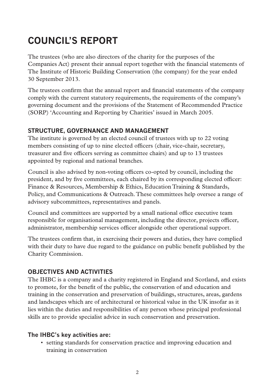# **COUNCIL'S REPORT**

The trustees (who are also directors of the charity for the purposes of the Companies Act) present their annual report together with the financial statements of The Institute of Historic Building Conservation (the company) for the year ended 30 September 2013.

The trustees confirm that the annual report and financial statements of the company comply with the current statutory requirements, the requirements of the company's governing document and the provisions of the Statement of Recommended Practice (SORP) 'Accounting and Reporting by Charities' issued in March 2005.

## **STRUCTURE, GOVERNANCE AND MANAGEMENT**

The institute is governed by an elected council of trustees with up to 22 voting members consisting of up to nine elected officers (chair, vice-chair, secretary, treasurer and five officers serving as committee chairs) and up to 13 trustees appointed by regional and national branches.

Council is also advised by non-voting officers co-opted by council, including the president, and by five committees, each chaired by its corresponding elected officer: Finance & Resources, Membership & Ethics, Education Training & Standards, Policy, and Communications & Outreach. These committees help oversee a range of advisory subcommittees, representatives and panels.

Council and committees are supported by a small national office executive team responsible for organisational management, including the director, projects officer, administrator, membership services officer alongside other operational support.

The trustees confirm that, in exercising their powers and duties, they have complied with their duty to have due regard to the guidance on public benefit published by the Charity Commission.

## **OBJECTIVES AND ACTIVITIES**

The IHBC is a company and a charity registered in England and Scotland, and exists to promote, for the benefit of the public, the conservation of and education and training in the conservation and preservation of buildings, structures, areas, gardens and landscapes which are of architectural or historical value in the UK insofar as it lies within the duties and responsibilities of any person whose principal professional skills are to provide specialist advice in such conservation and preservation.

## **The IHBC's key activities are:**

• setting standards for conservation practice and improving education and training in conservation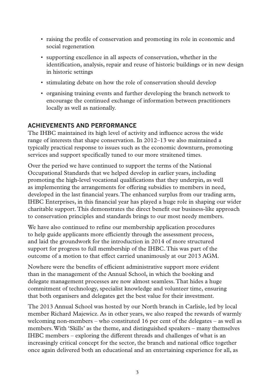- raising the profile of conservation and promoting its role in economic and social regeneration
- supporting excellence in all aspects of conservation, whether in the identification, analysis, repair and reuse of historic buildings or in new design in historic settings
- stimulating debate on how the role of conservation should develop
- organising training events and further developing the branch network to encourage the continued exchange of information between practitioners locally as well as nationally.

## **ACHIEVEMENTS AND PERFORMANCE**

The IHBC maintained its high level of activity and influence across the wide range of interests that shape conservation. In 2012–13 we also maintained a typically practical response to issues such as the economic downturn, promoting services and support specifically tuned to our more straitened times.

Over the period we have continued to support the terms of the National Occupational Standards that we helped develop in earlier years, including promoting the high-level vocational qualifications that they underpin, as well as implementing the arrangements for offering subsidies to members in need, developed in the last financial years. The enhanced surplus from our trading arm, IHBC Enterprises, in this financial year has played a huge role in shaping our wider charitable support. This demonstrates the direct benefit our business-like approach to conservation principles and standards brings to our most needy members.

We have also continued to refine our membership application procedures to help guide applicants more efficiently through the assessment process, and laid the groundwork for the introduction in 2014 of more structured support for progress to full membership of the IHBC. This was part of the outcome of a motion to that effect carried unanimously at our 2013 AGM.

Nowhere were the benefits of efficient administrative support more evident than in the management of the Annual School, in which the booking and delegate management processes are now almost seamless. That hides a huge commitment of technology, specialist knowledge and volunteer time, ensuring that both organisers and delegates get the best value for their investment.

The 2013 Annual School was hosted by our North branch in Carlisle, led by local member Richard Majewicz. As in other years, we also reaped the rewards of warmly welcoming non-members – who constituted 16 per cent of the delegates – as well as members. With 'Skills' as the theme, and distinguished speakers – many themselves IHBC members – exploring the different threads and challenges of what is an increasingly critical concept for the sector, the branch and national office together once again delivered both an educational and an entertaining experience for all, as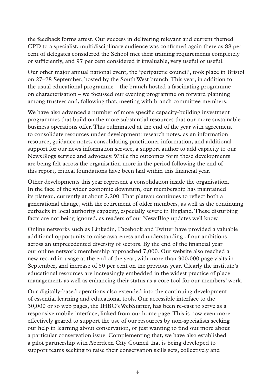the feedback forms attest. Our success in delivering relevant and current themed CPD to a specialist, multidisciplinary audience was confirmed again there as 88 per cent of delegates considered the School met their training requirements completely or sufficiently, and 97 per cent considered it invaluable, very useful or useful.

Our other major annual national event, the 'peripatetic council', took place in Bristol on 27–28 September, hosted by the South West branch. This year, in addition to the usual educational programme – the branch hosted a fascinating programme on characterisation – we focussed our evening programme on forward planning among trustees and, following that, meeting with branch committee members.

We have also advanced a number of more specific capacity-building investment programmes that build on the more substantial resources that our more sustainable business operations offer. This culminated at the end of the year with agreement to consolidate resources under development: research notes, as an information resource; guidance notes, consolidating practitioner information, and additional support for our news information service, a support author to add capacity to our NewsBlogs service and advocacy. While the outcomes form these developments are being felt across the organisation more in the period following the end of this report, critical foundations have been laid within this financial year.

Other developments this year represent a consolidation inside the organisation. In the face of the wider economic downturn, our membership has maintained its plateau, currently at about 2,200. That plateau continues to reflect both a generational change, with the retirement of older members, as well as the continuing cutbacks in local authority capacity, especially severe in England. These disturbing facts are not being ignored, as readers of our NewsBlog updates well know.

Online networks such as Linkedin, Facebook and Twitter have provided a valuable additional opportunity to raise awareness and understanding of our ambitions across an unprecedented diversity of sectors. By the end of the financial year our online network membership approached 7,000. Our website also reached a new record in usage at the end of the year, with more than 300,000 page visits in September, and increase of 50 per cent on the previous year. Clearly the institute's educational resources are increasingly embedded in the widest practice of place management, as well as enhancing their status as a core tool for our members' work.

Our digitally-based operations also extended into the continuing development of essential learning and educational tools. Our accessible interface to the 30,000 or so web pages, the IHBC's WebStarter, has been re-cast to serve as a responsive mobile interface, linked from our home page. This is now even more effectively geared to support the use of our resources by non-specialists seeking our help in learning about conservation, or just wanting to find out more about a particular conservation issue. Complementing that, we have also established a pilot partnership with Aberdeen City Council that is being developed to support teams seeking to raise their conservation skills sets, collectively and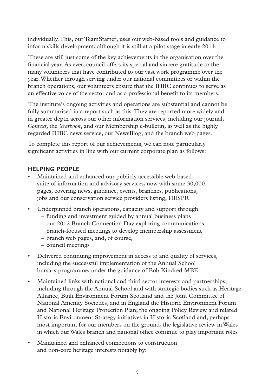individually. This, our TeamStarter, uses our web-based tools and guidance to inform skills development, although it is still at a pilot stage in early 2014.

These are still just some of the key achievements in the organisation over the financial year. As ever, council offers its special and sincere gratitude to the many volunteers that have contributed to our vast work programme over the year. Whether through serving under our national committees or within the branch operations, our volunteers ensure that the IHBC continues to serve as an effective voice of the sector and as a professional benefit to its members.

The institute's ongoing activities and operations are substantial and cannot be fully summarised in a report such as this. They are reported more widely and in greater depth across our other information services, including our journal, *Context*, the *Yearbook*, and our Membership e-bulletin, as well as the highly regarded IHBC news service, our NewsBlog, and the branch web pages.

To complete this report of our achievements, we can note particularly significant activities in line with our current corporate plan as follows:

#### **HELPING PEOPLE**

- Maintained and enhanced our publicly accessible web-based suite of information and advisory services, now with some 30,000 pages, covering news, guidance, events, branches, publications, jobs and our conservation service providers listing, HESPR
- Underpinned branch operations, capacity and support through:
	- funding and investment guided by annual business plans
	- our 2012 Branch Connection Day exploring communications
	- branch-focused meetings to develop membership assessment
	- branch web pages, and, of course,
	- council meetings
- Delivered continuing improvement in access to and quality of services, including the successful implementation of the Annual School bursary programme, under the guidance of Bob Kindred MBE
- Maintained links with national and third sector interests and partnerships, including through the Annual School and with strategic bodies such as Heritage Alliance, Built Environment Forum Scotland and the Joint Committee of National Amenity Societies, and in England the Historic Environment Forum and National Heritage Protection Plan; the ongoing Policy Review and related Historic Environment Strategy initiatives in Historic Scotland and, perhaps most important for our members on the ground, the legislative review in Wales in which our Wales branch and national office continue to play important roles
- Maintained and enhanced connections to construction and non-core heritage interests notably by: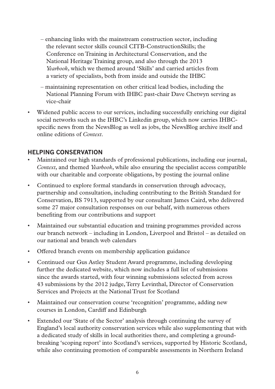- enhancing links with the mainstream construction sector, including the relevant sector skills council CITB-ConstructionSkills; the Conference on Training in Architectural Conservation, and the National Heritage Training group, and also through the 2013 *Yearbook*, which we themed around 'Skills' and carried articles from a variety of specialists, both from inside and outside the IHBC
- maintaining representation on other critical lead bodies, including the National Planning Forum with IHBC past-chair Dave Chetwyn serving as vice-chair
- Widened public access to our services, including successfully enriching our digital social networks such as the IHBC's Linkedin group, which now carries IHBCspecific news from the NewsBlog as well as jobs, the NewsBlog archive itself and online editions of *Context*.

## **HELPING CONSERVATION**

- Maintained our high standards of professional publications, including our journal, *Context*, and themed *Yearbook*, while also ensuring the specialist access compatible with our charitable and corporate obligations, by posting the journal online
- Continued to explore formal standards in conservation through advocacy, partnership and consultation, including contributing to the British Standard for Conservation, BS 7913, supported by our consultant James Caird, who delivered some 27 major consultation responses on our behalf, with numerous others benefiting from our contributions and support
- Maintained our substantial education and training programmes provided across our branch network – including in London, Liverpool and Bristol – as detailed on our national and branch web calendars
- Offered branch events on membership application guidance
- Continued our Gus Astley Student Award programme, including developing further the dedicated website, which now includes a full list of submissions since the awards started, with four winning submissions selected from across 43 submissions by the 2012 judge, Terry Levinthal, Director of Conservation Services and Projects at the National Trust for Scotland
- Maintained our conservation course 'recognition' programme, adding new courses in London, Cardiff and Edinburgh
- Extended our 'State of the Sector' analysis through continuing the survey of England's local authority conservation services while also supplementing that with a dedicated study of skills in local authorities there, and completing a groundbreaking 'scoping report' into Scotland's services, supported by Historic Scotland, while also continuing promotion of comparable assessments in Northern Ireland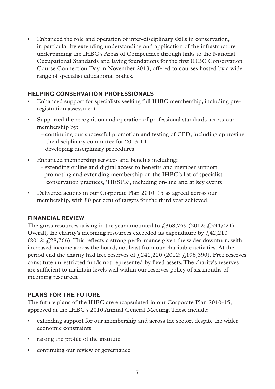• Enhanced the role and operation of inter-disciplinary skills in conservation, in particular by extending understanding and application of the infrastructure underpinning the IHBC's Areas of Competence through links to the National Occupational Standards and laying foundations for the first IHBC Conservation Course Connection Day in November 2013, offered to courses hosted by a wide range of specialist educational bodies.

## **HELPING CONSERVATION PROFESSIONALS**

- Enhanced support for specialists seeking full IHBC membership, including preregistration assessment
- Supported the recognition and operation of professional standards across our membership by:
	- continuing our successful promotion and testing of CPD, including approving the disciplinary committee for 2013-14
	- developing disciplinary procedures
- Enhanced membership services and benefits including:
	- extending online and digital access to benefits and member support
	- promoting and extending membership on the IHBC's list of specialist conservation practices, 'HESPR', including on-line and at key events
- Delivered actions in our Corporate Plan 2010–15 as agreed across our membership, with 80 per cent of targets for the third year achieved.

## **FINANCIAL REVIEW**

The gross resources arising in the year amounted to  $\mathcal{L}368,769$  (2012:  $\mathcal{L}334,021$ ). Overall, the charity's incoming resources exceeded its expenditure by  $f<sub>1</sub>42,210$ (2012:  $f<sub>i</sub>28,766$ ). This reflects a strong performance given the wider downturn, with increased income across the board, not least from our charitable activities. At the period end the charity had free reserves of  $\frac{241,220}{2012}$ :  $\frac{198,390}{2012}$ . Free reserves constitute unrestricted funds not represented by fixed assets. The charity's reserves are sufficient to maintain levels well within our reserves policy of six months of incoming resources.

## **PLANS FOR THE FUTURE**

The future plans of the IHBC are encapsulated in our Corporate Plan 2010-15, approved at the IHBC's 2010 Annual General Meeting. These include:

- extending support for our membership and across the sector, despite the wider economic constraints
- raising the profile of the institute
- continuing our review of governance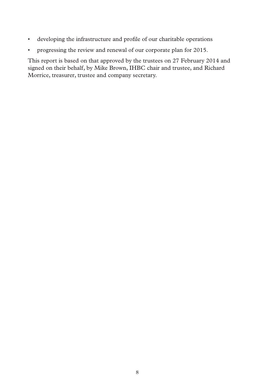- developing the infrastructure and profile of our charitable operations
- progressing the review and renewal of our corporate plan for 2015.

This report is based on that approved by the trustees on 27 February 2014 and signed on their behalf, by Mike Brown, IHBC chair and trustee, and Richard Morrice, treasurer, trustee and company secretary.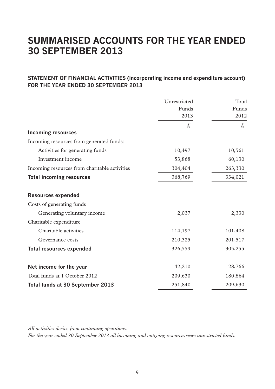## **SUMMARISED ACCOUNTS FOR THE YEAR ENDED 30 SEPTEMBER 2013**

#### **STATEMENT OF FINANCIAL ACTIVITIES (incorporating income and expenditure account) FOR THE YEAR ENDED 30 SEPTEMBER 2013**

|                                               | Unrestricted<br>Funds<br>2013 | Total<br>Funds<br>2012 |
|-----------------------------------------------|-------------------------------|------------------------|
|                                               | £,                            | £.                     |
| <b>Incoming resources</b>                     |                               |                        |
| Incoming resources from generated funds:      |                               |                        |
| Activities for generating funds               | 10,497                        | 10,561                 |
| Investment income                             | 53,868                        | 60,130                 |
| Incoming resources from charitable activities | 304,404                       | 263,330                |
| <b>Total incoming resources</b>               | 368,769                       | 334,021                |
| <b>Resources expended</b>                     |                               |                        |
| Costs of generating funds                     |                               |                        |
| Generating voluntary income                   | 2,037                         | 2,330                  |
| Charitable expenditure                        |                               |                        |
| Charitable activities                         | 114,197                       | 101,408                |
| Governance costs                              | 210,325                       | 201,517                |
| <b>Total resources expended</b>               | 326,559                       | 305,255                |
| Net income for the year                       | 42,210                        | 28,766                 |
| Total funds at 1 October 2012                 | 209,630                       | 180,864                |
| Total funds at 30 September 2013              | 251,840                       | 209,630                |

*All activities derive from continuing operations.*

*For the year ended 30 September 2013 all incoming and outgoing resources were unrestricted funds.*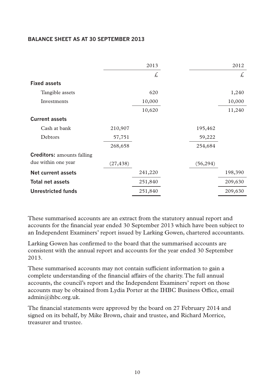#### **BALANCE SHEET AS AT 30 SEPTEMBER 2013**

|                                   |           | 2013    |           | 2012    |
|-----------------------------------|-----------|---------|-----------|---------|
|                                   |           | £,      |           | £.      |
| <b>Fixed assets</b>               |           |         |           |         |
| Tangible assets                   |           | 620     |           | 1,240   |
| Investments                       |           | 10,000  |           | 10,000  |
|                                   |           | 10,620  |           | 11,240  |
| <b>Current assets</b>             |           |         |           |         |
| Cash at bank                      | 210,907   |         | 195,462   |         |
| Debtors                           | 57,751    |         | 59,222    |         |
|                                   | 268,658   |         | 254,684   |         |
| <b>Creditors:</b> amounts falling |           |         |           |         |
| due within one year               | (27, 438) |         | (56, 294) |         |
| Net current assets                |           | 241,220 |           | 198,390 |
| <b>Total net assets</b>           |           | 251,840 |           | 209,630 |
| Unrestricted funds                |           | 251,840 |           | 209,630 |

These summarised accounts are an extract from the statutory annual report and accounts for the financial year ended 30 September 2013 which have been subject to an Independent Examiners' report issued by Larking Gowen, chartered accountants.

Larking Gowen has confirmed to the board that the summarised accounts are consistent with the annual report and accounts for the year ended 30 September 2013.

These summarised accounts may not contain sufficient information to gain a complete understanding of the financial affairs of the charity. The full annual accounts, the council's report and the Independent Examiners' report on those accounts may be obtained from Lydia Porter at the IHBC Business Office, email admin@ihbc.org.uk.

The financial statements were approved by the board on 27 February 2014 and signed on its behalf, by Mike Brown, chair and trustee, and Richard Morrice, treasurer and trustee.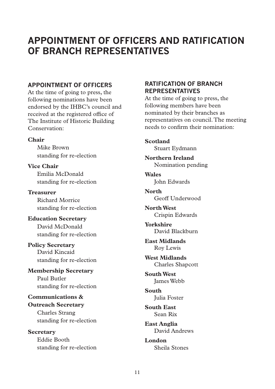## **APPOINTMENT OF OFFICERS AND RATIFICATION OF BRANCH REPRESENTATIVES**

#### **APPOINTMENT OF OFFICERS**

At the time of going to press, the following nominations have been endorsed by the IHBC's council and received at the registered office of The Institute of Historic Building Conservation:

#### **Chair**

Mike Brown standing for re-election

**Vice Chair** Emilia McDonald standing for re-election

**Treasurer** Richard Morrice standing for re-election

**Education Secretary** David McDonald standing for re-election

## **Policy Secretary** David Kincaid standing for re-election

**Membership Secretary** Paul Butler standing for re-election

## **Communications & Outreach Secretary** Charles Strang standing for re-election

**Secretary** Eddie Booth standing for re-election

### **RATIFICATION OF BRANCH REPRESENTATIVES**

At the time of going to press, the following members have been nominated by their branches as representatives on council. The meeting needs to confirm their nomination:

**Scotland** Stuart Eydmann

**Northern Ireland** Nomination pending

**Wales** John Edwards

**North** Geoff Underwood

**North West** Crispin Edwards

**Yorkshire** David Blackburn

**East Midlands** Roy Lewis

**West Midlands** Charles Shapcott

**South West** James Webb

**South** Julia Foster

**South East** Sean Rix

**East Anglia** David Andrews

**London** Sheila Stones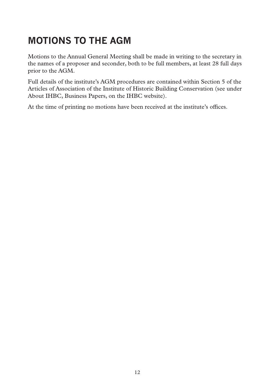# **MOTIONS TO THE AGM**

Motions to the Annual General Meeting shall be made in writing to the secretary in the names of a proposer and seconder, both to be full members, at least 28 full days prior to the AGM.

Full details of the institute's AGM procedures are contained within Section 5 of the Articles of Association of the Institute of Historic Building Conservation (see under About IHBC, Business Papers, on the IHBC website).

At the time of printing no motions have been received at the institute's offices.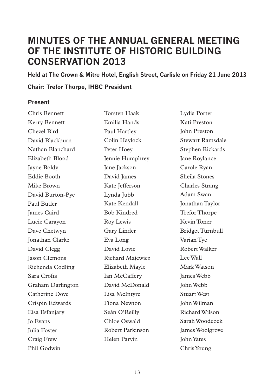## **MINUTES OF THE ANNUAL GENERAL MEETING OF THE INSTITUTE OF HISTORIC BUILDING CONSERVATION 2013**

**Held at The Crown & Mitre Hotel, English Street, Carlisle on Friday 21 June 2013**

**Chair: Trefor Thorpe, IHBC President**

## **Present**

| Chris Bennett          | <b>Torsten Haak</b> | Lydia Porter            |
|------------------------|---------------------|-------------------------|
| Kerry Bennett          | Emilia Hands        | Kati Preston            |
| Chezel Bird            | Paul Hartley        | <b>John Preston</b>     |
| David Blackburn        | Colin Havlock       | Stewart Ramsdale        |
| Nathan Blanchard       | Peter Hoev          | Stephen Rickards        |
| Elizabeth Blood        | Jennie Humphrey     | Jane Roylance           |
| Jayne Boldy            | Jane Jackson        | Carole Ryan             |
| Eddie Booth            | David James         | Sheila Stones           |
| Mike Brown             | Kate Jefferson      | Charles Strang          |
| David Burton-Pye       | Lynda Jubb          | Adam Swan               |
| Paul Butler            | Kate Kendall        | Jonathan Taylor         |
| James Caird            | <b>Bob Kindred</b>  | <b>Trefor Thorpe</b>    |
| Lucie Carayon          | Roy Lewis           | Kevin Toner             |
| Dave Chetwyn           | Gary Linder         | <b>Bridget Turnbull</b> |
| <b>Jonathan Clarke</b> | Eva Long            | Varian Tve              |
| David Clegg            | David Lovie         | Robert Walker           |
| <b>Jason Clemons</b>   | Richard Majewicz    | Lee Wall                |
| Richenda Codling       | Elizabeth Mayle     | Mark Watson             |
| Sara Crofts            | Ian McCaffery       | <b>James Webb</b>       |
| Graham Darlington      | David McDonald      | John Webb               |
| Catherine Dove         | Lisa McIntyre       | Stuart West             |
| Crispin Edwards        | Fiona Newton        | John Wilman             |
| Eisa Esfanjary         | Seán O'Reilly       | Richard Wilson          |
| <b>Io Evans</b>        | Chloe Oswald        | Sarah Woodcock          |
| Julia Foster           | Robert Parkinson    | James Woolgrove         |
| Craig Frew             | Helen Parvin        | <b>John Yates</b>       |
| Phil Godwin            |                     | Chris Young             |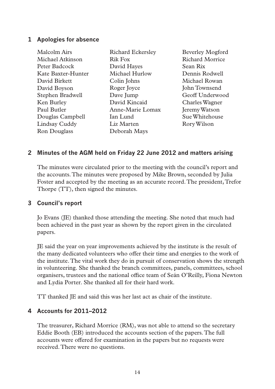#### **1 Apologies for absence**

| Malcolm Airs       | <b>Richard Eckersley</b> | Beverley Mogford |
|--------------------|--------------------------|------------------|
| Michael Atkinson   | Rik Fox                  | Richard Morrice  |
| Peter Badcock      | David Hayes              | Sean Rix         |
| Kate Baxter-Hunter | Michael Hurlow           | Dennis Rodwell   |
| David Birkett      | Colin Johns              | Michael Rowan    |
| David Boyson       | Roger Joyce              | John Townsend    |
| Stephen Bradwell   | Dave Jump                | Geoff Underwood  |
| Ken Burley         | David Kincaid            | Charles Wagner   |
| Paul Butler        | Anne-Marie Lomax         | Jeremy Watson    |
| Douglas Campbell   | Ian Lund                 | Sue Whitehouse   |
| Lindsay Cuddy      | Liz Marten               | Rory Wilson      |
| Ron Douglass       | Deborah Mays             |                  |
|                    |                          |                  |

#### **2 Minutes of the AGM held on Friday 22 June 2012 and matters arising**

The minutes were circulated prior to the meeting with the council's report and the accounts. The minutes were proposed by Mike Brown, seconded by Julia Foster and accepted by the meeting as an accurate record. The president, Trefor Thorpe (TT), then signed the minutes.

#### **3 Council's report**

Jo Evans (JE) thanked those attending the meeting. She noted that much had been achieved in the past year as shown by the report given in the circulated papers.

JE said the year on year improvements achieved by the institute is the result of the many dedicated volunteers who offer their time and energies to the work of the institute. The vital work they do in pursuit of conservation shows the strength in volunteering. She thanked the branch committees, panels, committees, school organisers, trustees and the national office team of Seán O'Reilly, Fiona Newton and Lydia Porter. She thanked all for their hard work.

TT thanked JE and said this was her last act as chair of the institute.

#### **4 Accounts for 2011–2012**

The treasurer, Richard Morrice (RM), was not able to attend so the secretary Eddie Booth (EB) introduced the accounts section of the papers. The full accounts were offered for examination in the papers but no requests were received. There were no questions.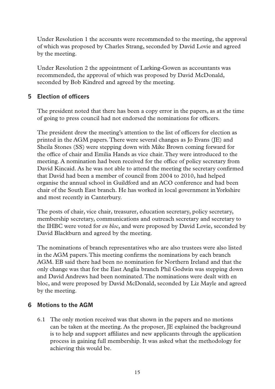Under Resolution 1 the accounts were recommended to the meeting, the approval of which was proposed by Charles Strang, seconded by David Lovie and agreed by the meeting.

Under Resolution 2 the appointment of Larking-Gowen as accountants was recommended, the approval of which was proposed by David McDonald, seconded by Bob Kindred and agreed by the meeting.

## **5 Election of officers**

The president noted that there has been a copy error in the papers, as at the time of going to press council had not endorsed the nominations for officers.

The president drew the meeting's attention to the list of officers for election as printed in the AGM papers. There were several changes as Jo Evans (JE) and Sheila Stones (SS) were stepping down with Mike Brown coming forward for the office of chair and Emilia Hands as vice chair. They were introduced to the meeting. A nomination had been received for the office of policy secretary from David Kincaid. As he was not able to attend the meeting the secretary confirmed that David had been a member of council from 2004 to 2010, had helped organise the annual school in Guildford and an ACO conference and had been chair of the South East branch. He has worked in local government in Yorkshire and most recently in Canterbury.

The posts of chair, vice chair, treasurer, education secretary, policy secretary, membership secretary, communications and outreach secretary and secretary to the IHBC were voted for *en bloc*, and were proposed by David Lovie, seconded by David Blackburn and agreed by the meeting.

The nominations of branch representatives who are also trustees were also listed in the AGM papers. This meeting confirms the nominations by each branch AGM. EB said there had been no nomination for Northern Ireland and that the only change was that for the East Anglia branch Phil Godwin was stepping down and David Andrews had been nominated. The nominations were dealt with en bloc, and were proposed by David McDonald, seconded by Liz Mayle and agreed by the meeting.

#### **6 Motions to the AGM**

6.1 The only motion received was that shown in the papers and no motions can be taken at the meeting. As the proposer, JE explained the background is to help and support affiliates and new applicants through the application process in gaining full membership. It was asked what the methodology for achieving this would be.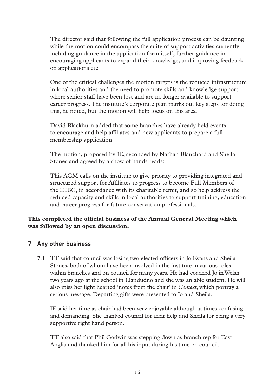The director said that following the full application process can be daunting while the motion could encompass the suite of support activities currently including guidance in the application form itself, further guidance in encouraging applicants to expand their knowledge, and improving feedback on applications etc.

One of the critical challenges the motion targets is the reduced infrastructure in local authorities and the need to promote skills and knowledge support where senior staff have been lost and are no longer available to support career progress. The institute's corporate plan marks out key steps for doing this, he noted, but the motion will help focus on this area.

David Blackburn added that some branches have already held events to encourage and help affiliates and new applicants to prepare a full membership application.

The motion, proposed by JE, seconded by Nathan Blanchard and Sheila Stones and agreed by a show of hands reads:

This AGM calls on the institute to give priority to providing integrated and structured support for Affiliates to progress to become Full Members of the IHBC, in accordance with its charitable remit, and so help address the reduced capacity and skills in local authorities to support training, education and career progress for future conservation professionals.

#### **This completed the official business of the Annual General Meeting which was followed by an open discussion.**

#### **7 Any other business**

7.1 TT said that council was losing two elected officers in Jo Evans and Sheila Stones, both of whom have been involved in the institute in various roles within branches and on council for many years. He had coached Jo in Welsh two years ago at the school in Llandudno and she was an able student. He will also miss her light hearted 'notes from the chair' in *Context*, which portray a serious message. Departing gifts were presented to Jo and Sheila.

JE said her time as chair had been very enjoyable although at times confusing and demanding. She thanked council for their help and Sheila for being a very supportive right hand person.

TT also said that Phil Godwin was stepping down as branch rep for East Anglia and thanked him for all his input during his time on council.